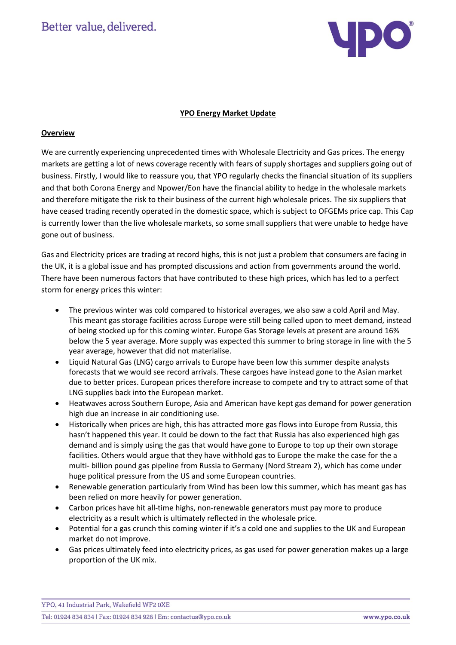Better value, delivered.



### **YPO Energy Market Update**

## **Overview**

We are currently experiencing unprecedented times with Wholesale Electricity and Gas prices. The energy markets are getting a lot of news coverage recently with fears of supply shortages and suppliers going out of business. Firstly, I would like to reassure you, that YPO regularly checks the financial situation of its suppliers and that both Corona Energy and Npower/Eon have the financial ability to hedge in the wholesale markets and therefore mitigate the risk to their business of the current high wholesale prices. The six suppliers that have ceased trading recently operated in the domestic space, which is subject to OFGEMs price cap. This Cap is currently lower than the live wholesale markets, so some small suppliers that were unable to hedge have gone out of business.

Gas and Electricity prices are trading at record highs, this is not just a problem that consumers are facing in the UK, it is a global issue and has prompted discussions and action from governments around the world. There have been numerous factors that have contributed to these high prices, which has led to a perfect storm for energy prices this winter:

- The previous winter was cold compared to historical averages, we also saw a cold April and May. This meant gas storage facilities across Europe were still being called upon to meet demand, instead of being stocked up for this coming winter. Europe Gas Storage levels at present are around 16% below the 5 year average. More supply was expected this summer to bring storage in line with the 5 year average, however that did not materialise.
- Liquid Natural Gas (LNG) cargo arrivals to Europe have been low this summer despite analysts forecasts that we would see record arrivals. These cargoes have instead gone to the Asian market due to better prices. European prices therefore increase to compete and try to attract some of that LNG supplies back into the European market.
- Heatwaves across Southern Europe, Asia and American have kept gas demand for power generation high due an increase in air conditioning use.
- Historically when prices are high, this has attracted more gas flows into Europe from Russia, this hasn't happened this year. It could be down to the fact that Russia has also experienced high gas demand and is simply using the gas that would have gone to Europe to top up their own storage facilities. Others would argue that they have withhold gas to Europe the make the case for the a multi- billion pound gas pipeline from Russia to Germany (Nord Stream 2), which has come under huge political pressure from the US and some European countries.
- Renewable generation particularly from Wind has been low this summer, which has meant gas has been relied on more heavily for power generation.
- Carbon prices have hit all-time highs, non-renewable generators must pay more to produce electricity as a result which is ultimately reflected in the wholesale price.
- Potential for a gas crunch this coming winter if it's a cold one and supplies to the UK and European market do not improve.
- Gas prices ultimately feed into electricity prices, as gas used for power generation makes up a large proportion of the UK mix.